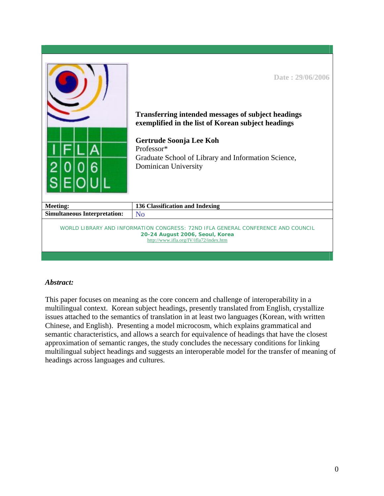|                                     | Date: 29/06/2006<br><b>Transferring intended messages of subject headings</b><br>exemplified in the list of Korean subject headings<br>Gertrude Soonja Lee Koh<br>Professor*<br>Graduate School of Library and Information Science,<br>Dominican University |
|-------------------------------------|-------------------------------------------------------------------------------------------------------------------------------------------------------------------------------------------------------------------------------------------------------------|
| <b>Meeting:</b>                     | 136 Classification and Indexing                                                                                                                                                                                                                             |
| <b>Simultaneous Interpretation:</b> | N <sub>0</sub>                                                                                                                                                                                                                                              |
|                                     | WORLD LIBRARY AND INFORMATION CONGRESS: 72ND IFLA GENERAL CONFERENCE AND COUNCIL<br>20-24 August 2006, Seoul, Korea<br>http://www.ifla.org/IV/ifla72/index.htm                                                                                              |

# *Abstract:*

This paper focuses on meaning as the core concern and challenge of interoperability in a multilingual context. Korean subject headings, presently translated from English, crystallize issues attached to the semantics of translation in at least two languages (Korean, with written Chinese, and English). Presenting a model microcosm, which explains grammatical and semantic characteristics, and allows a search for equivalence of headings that have the closest approximation of semantic ranges, the study concludes the necessary conditions for linking multilingual subject headings and suggests an interoperable model for the transfer of meaning of headings across languages and cultures.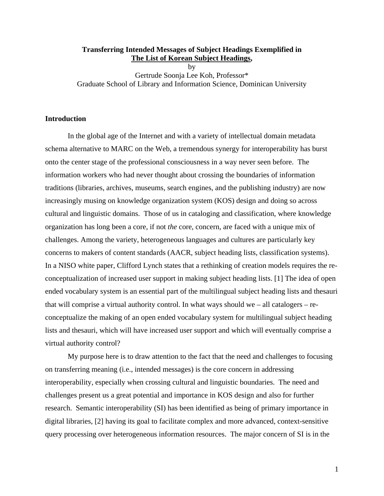### **Transferring Intended Messages of Subject Headings Exemplified in The List of Korean Subject Headings,**

by Gertrude Soonja Lee Koh, Professor\* Graduate School of Library and Information Science, Dominican University

# **Introduction**

In the global age of the Internet and with a variety of intellectual domain metadata schema alternative to MARC on the Web, a tremendous synergy for interoperability has burst onto the center stage of the professional consciousness in a way never seen before. The information workers who had never thought about crossing the boundaries of information traditions (libraries, archives, museums, search engines, and the publishing industry) are now increasingly musing on knowledge organization system (KOS) design and doing so across cultural and linguistic domains. Those of us in cataloging and classification, where knowledge organization has long been a core, if not *the* core, concern, are faced with a unique mix of challenges. Among the variety, heterogeneous languages and cultures are particularly key concerns to makers of content standards (AACR, subject heading lists, classification systems). In a NISO white paper, Clifford Lynch states that a rethinking of creation models requires the reconceptualization of increased user support in making subject heading lists. [1] The idea of open ended vocabulary system is an essential part of the multilingual subject heading lists and thesauri that will comprise a virtual authority control. In what ways should we – all catalogers – reconceptualize the making of an open ended vocabulary system for multilingual subject heading lists and thesauri, which will have increased user support and which will eventually comprise a virtual authority control?

My purpose here is to draw attention to the fact that the need and challenges to focusing on transferring meaning (i.e., intended messages) is the core concern in addressing interoperability, especially when crossing cultural and linguistic boundaries. The need and challenges present us a great potential and importance in KOS design and also for further research. Semantic interoperability (SI) has been identified as being of primary importance in digital libraries, [2] having its goal to facilitate complex and more advanced, context-sensitive query processing over heterogeneous information resources. The major concern of SI is in the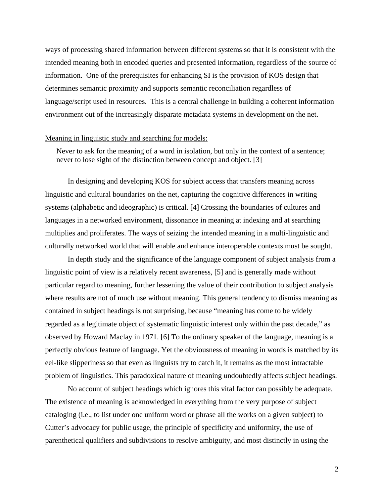ways of processing shared information between different systems so that it is consistent with the intended meaning both in encoded queries and presented information, regardless of the source of information. One of the prerequisites for enhancing SI is the provision of KOS design that determines semantic proximity and supports semantic reconciliation regardless of language/script used in resources. This is a central challenge in building a coherent information environment out of the increasingly disparate metadata systems in development on the net.

# Meaning in linguistic study and searching for models:

Never to ask for the meaning of a word in isolation, but only in the context of a sentence; never to lose sight of the distinction between concept and object. [3]

In designing and developing KOS for subject access that transfers meaning across linguistic and cultural boundaries on the net, capturing the cognitive differences in writing systems (alphabetic and ideographic) is critical. [4] Crossing the boundaries of cultures and languages in a networked environment, dissonance in meaning at indexing and at searching multiplies and proliferates. The ways of seizing the intended meaning in a multi-linguistic and culturally networked world that will enable and enhance interoperable contexts must be sought.

In depth study and the significance of the language component of subject analysis from a linguistic point of view is a relatively recent awareness, [5] and is generally made without particular regard to meaning, further lessening the value of their contribution to subject analysis where results are not of much use without meaning. This general tendency to dismiss meaning as contained in subject headings is not surprising, because "meaning has come to be widely regarded as a legitimate object of systematic linguistic interest only within the past decade," as observed by Howard Maclay in 1971. [6] To the ordinary speaker of the language, meaning is a perfectly obvious feature of language. Yet the obviousness of meaning in words is matched by its eel-like slipperiness so that even as linguists try to catch it, it remains as the most intractable problem of linguistics. This paradoxical nature of meaning undoubtedly affects subject headings.

No account of subject headings which ignores this vital factor can possibly be adequate. The existence of meaning is acknowledged in everything from the very purpose of subject cataloging (i.e., to list under one uniform word or phrase all the works on a given subject) to Cutter's advocacy for public usage, the principle of specificity and uniformity, the use of parenthetical qualifiers and subdivisions to resolve ambiguity, and most distinctly in using the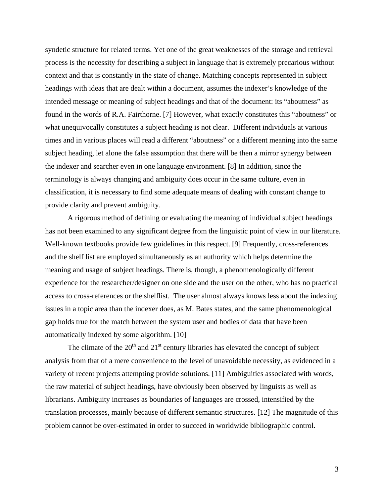syndetic structure for related terms. Yet one of the great weaknesses of the storage and retrieval process is the necessity for describing a subject in language that is extremely precarious without context and that is constantly in the state of change. Matching concepts represented in subject headings with ideas that are dealt within a document, assumes the indexer's knowledge of the intended message or meaning of subject headings and that of the document: its "aboutness" as found in the words of R.A. Fairthorne. [7] However, what exactly constitutes this "aboutness" or what unequivocally constitutes a subject heading is not clear. Different individuals at various times and in various places will read a different "aboutness" or a different meaning into the same subject heading, let alone the false assumption that there will be then a mirror synergy between the indexer and searcher even in one language environment. [8] In addition, since the terminology is always changing and ambiguity does occur in the same culture, even in classification, it is necessary to find some adequate means of dealing with constant change to provide clarity and prevent ambiguity.

A rigorous method of defining or evaluating the meaning of individual subject headings has not been examined to any significant degree from the linguistic point of view in our literature. Well-known textbooks provide few guidelines in this respect. [9] Frequently, cross-references and the shelf list are employed simultaneously as an authority which helps determine the meaning and usage of subject headings. There is, though, a phenomenologically different experience for the researcher/designer on one side and the user on the other, who has no practical access to cross-references or the shelflist. The user almost always knows less about the indexing issues in a topic area than the indexer does, as M. Bates states, and the same phenomenological gap holds true for the match between the system user and bodies of data that have been automatically indexed by some algorithm. [10]

The climate of the  $20<sup>th</sup>$  and  $21<sup>st</sup>$  century libraries has elevated the concept of subject analysis from that of a mere convenience to the level of unavoidable necessity, as evidenced in a variety of recent projects attempting provide solutions. [11] Ambiguities associated with words, the raw material of subject headings, have obviously been observed by linguists as well as librarians. Ambiguity increases as boundaries of languages are crossed, intensified by the translation processes, mainly because of different semantic structures. [12] The magnitude of this problem cannot be over-estimated in order to succeed in worldwide bibliographic control.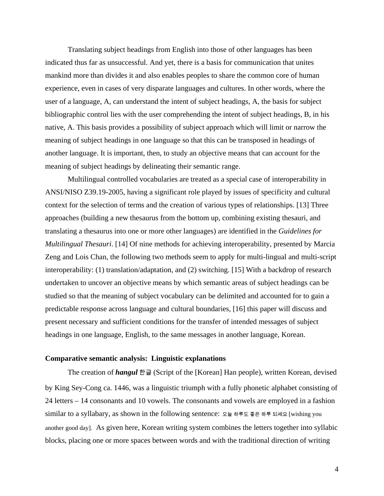Translating subject headings from English into those of other languages has been indicated thus far as unsuccessful. And yet, there is a basis for communication that unites mankind more than divides it and also enables peoples to share the common core of human experience, even in cases of very disparate languages and cultures. In other words, where the user of a language, A, can understand the intent of subject headings, A, the basis for subject bibliographic control lies with the user comprehending the intent of subject headings, B, in his native, A. This basis provides a possibility of subject approach which will limit or narrow the meaning of subject headings in one language so that this can be transposed in headings of another language. It is important, then, to study an objective means that can account for the meaning of subject headings by delineating their semantic range.

Multilingual controlled vocabularies are treated as a special case of interoperability in ANSI/NISO Z39.19-2005, having a significant role played by issues of specificity and cultural context for the selection of terms and the creation of various types of relationships. [13] Three approaches (building a new thesaurus from the bottom up, combining existing thesauri, and translating a thesaurus into one or more other languages) are identified in the *Guidelines for Multilingual Thesauri*. [14] Of nine methods for achieving interoperability, presented by Marcia Zeng and Lois Chan, the following two methods seem to apply for multi-lingual and multi-script interoperability: (1) translation/adaptation, and (2) switching. [15] With a backdrop of research undertaken to uncover an objective means by which semantic areas of subject headings can be studied so that the meaning of subject vocabulary can be delimited and accounted for to gain a predictable response across language and cultural boundaries, [16] this paper will discuss and present necessary and sufficient conditions for the transfer of intended messages of subject headings in one language, English, to the same messages in another language, Korean.

### **Comparative semantic analysis: Linguistic explanations**

The creation of *hangul* 한글 (Script of the [Korean] Han people), written Korean, devised by King Sey-Cong ca. 1446, was a linguistic triumph with a fully phonetic alphabet consisting of 24 letters – 14 consonants and 10 vowels. The consonants and vowels are employed in a fashion similar to a syllabary, as shown in the following sentence: 오늘 하루도 좋은 하루 되세요 [wishing you another good day]. As given here, Korean writing system combines the letters together into syllabic blocks, placing one or more spaces between words and with the traditional direction of writing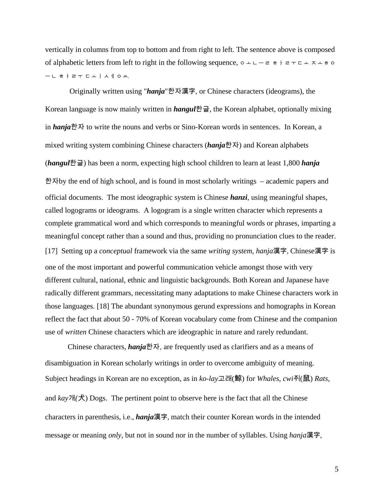vertically in columns from top to bottom and from right to left. The sentence above is composed of alphabetic letters from left to right in the following sequence,  $\circ$   $\perp$   $\perp$   $\neq$   $\circ$   $\neq$   $\perp$   $\perp$   $\perp$   $\perp$   $\perp$   $\perp$   $\neq$   $\circ$ ㅡ ㄴ ㅎ ㅏ ㄹ ㅜ ㄷ ㅗ ㅣ ㅅ ㅔ ㅇ ㅛ.

 Originally written using "*hanja*"한자漢字, or Chinese characters (ideograms), the Korean language is now mainly written in *hangul*한글, the Korean alphabet, optionally mixing in *hanja*한자 to write the nouns and verbs or Sino-Korean words in sentences. In Korean, a mixed writing system combining Chinese characters (*hanja*한자) and Korean alphabets (*hangul*한글) has been a norm, expecting high school children to learn at least 1,800 *hanja* 한자by the end of high school, and is found in most scholarly writings – academic papers and official documents. The most ideographic system is Chinese *hanzi*, using meaningful shapes, called logograms or ideograms. A logogram is a single written character which represents a complete grammatical word and which corresponds to meaningful words or phrases, imparting a meaningful concept rather than a sound and thus, providing no pronunciation clues to the reader. [17] Setting up a *conceptual* framework via the same *writing system*, *hanja*漢字, Chinese漢字 is one of the most important and powerful communication vehicle amongst those with very different cultural, national, ethnic and linguistic backgrounds. Both Korean and Japanese have radically different grammars, necessitating many adaptations to make Chinese characters work in those languages. [18] The abundant synonymous gerund expressions and homographs in Korean reflect the fact that about 50 - 70% of Korean vocabulary come from Chinese and the companion use of *written* Chinese characters which are ideographic in nature and rarely redundant.

Chinese characters, *hanja*한자, are frequently used as clarifiers and as a means of disambiguation in Korean scholarly writings in order to overcome ambiguity of meaning. Subject headings in Korean are no exception, as in *ko-lay*고래(鯨) for *Whales*, *cwi*쥐(鼠) *Rats*, and  $kay\mathcal{H}(\hat{\mathcal{R}})$  Dogs. The pertinent point to observe here is the fact that all the Chinese characters in parenthesis, i.e., *hanja*漢字, match their counter Korean words in the intended message or meaning *only*, but not in sound nor in the number of syllables. Using *hanja*漢字,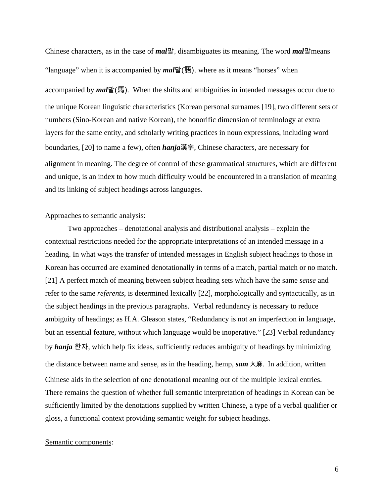Chinese characters, as in the case of *mal*말, disambiguates its meaning. The word *mal*말means "language" when it is accompanied by *mal*말(語), where as it means "horses" when accompanied by *mal*말(馬). When the shifts and ambiguities in intended messages occur due to the unique Korean linguistic characteristics (Korean personal surnames [19], two different sets of numbers (Sino-Korean and native Korean), the honorific dimension of terminology at extra layers for the same entity, and scholarly writing practices in noun expressions, including word boundaries, [20] to name a few), often *hanja*漢字, Chinese characters, are necessary for alignment in meaning. The degree of control of these grammatical structures, which are different and unique, is an index to how much difficulty would be encountered in a translation of meaning and its linking of subject headings across languages.

## Approaches to semantic analysis:

Two approaches – denotational analysis and distributional analysis – explain the contextual restrictions needed for the appropriate interpretations of an intended message in a heading. In what ways the transfer of intended messages in English subject headings to those in Korean has occurred are examined denotationally in terms of a match, partial match or no match. [21] A perfect match of meaning between subject heading sets which have the same *sense* and refer to the same *referents*, is determined lexically [22], morphologically and syntactically, as in the subject headings in the previous paragraphs. Verbal redundancy is necessary to reduce ambiguity of headings; as H.A. Gleason states, "Redundancy is not an imperfection in language, but an essential feature, without which language would be inoperative." [23] Verbal redundancy by *hanja* 한자, which help fix ideas, sufficiently reduces ambiguity of headings by minimizing the distance between name and sense, as in the heading, hemp, *sam* 大麻. In addition, written Chinese aids in the selection of one denotational meaning out of the multiple lexical entries. There remains the question of whether full semantic interpretation of headings in Korean can be sufficiently limited by the denotations supplied by written Chinese, a type of a verbal qualifier or gloss, a functional context providing semantic weight for subject headings.

### Semantic components: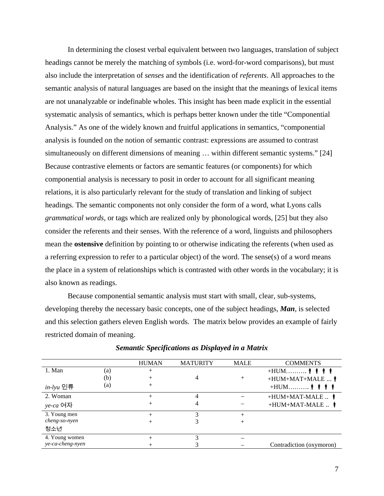In determining the closest verbal equivalent between two languages, translation of subject headings cannot be merely the matching of symbols (i.e. word-for-word comparisons), but must also include the interpretation of *senses* and the identification of *referents*. All approaches to the semantic analysis of natural languages are based on the insight that the meanings of lexical items are not unanalyzable or indefinable wholes. This insight has been made explicit in the essential systematic analysis of semantics, which is perhaps better known under the title "Componential Analysis." As one of the widely known and fruitful applications in semantics, "componential analysis is founded on the notion of semantic contrast: expressions are assumed to contrast simultaneously on different dimensions of meaning … within different semantic systems." [24] Because contrastive elements or factors are semantic features (or components) for which componential analysis is necessary to posit in order to account for all significant meaning relations, it is also particularly relevant for the study of translation and linking of subject headings. The semantic components not only consider the form of a word, what Lyons calls *grammatical words*, or tags which are realized only by phonological words, [25] but they also consider the referents and their senses. With the reference of a word, linguists and philosophers mean the **ostensive** definition by pointing to or otherwise indicating the referents (when used as a referring expression to refer to a particular object) of the word. The sense(s) of a word means the place in a system of relationships which is contrasted with other words in the vocabulary; it is also known as readings.

Because componential semantic analysis must start with small, clear, sub-systems, developing thereby the necessary basic concepts, one of the subject headings, *Man*, is selected and this selection gathers eleven English words. The matrix below provides an example of fairly restricted domain of meaning.

|                  |     | <b>HUMAN</b> | <b>MATURITY</b> | <b>MALE</b> | <b>COMMENTS</b>                                |
|------------------|-----|--------------|-----------------|-------------|------------------------------------------------|
| 1. Man           | (a) |              |                 |             |                                                |
|                  | (b) |              | 4               |             | $+HUM+MAT+MALE$                                |
| <i>in-lyu</i> 인류 | (a) |              |                 |             | $+$ HUM $\hat{\phi}$ $\hat{\phi}$ $\hat{\phi}$ |
| 2. Woman         |     |              | 4               |             | $+HUM+MAT-MALE$                                |
| <i>ye-ca</i> 여자  |     |              |                 |             | $+HUM+MAT-MALE$                                |
| 3. Young men     |     | $^+$         | 3               | $^+$        |                                                |
| cheng-so-nyen    |     |              |                 | +           |                                                |
| 청소년              |     |              |                 |             |                                                |
| 4. Young women   |     |              |                 |             |                                                |
| ye-ca-cheng-nyen |     |              |                 |             | Contradiction (oxymoron)                       |

*Semantic Specifications as Displayed in a Matrix*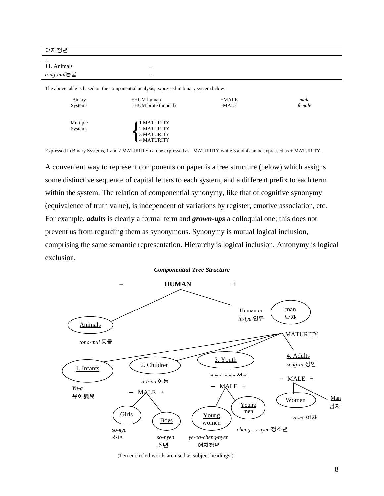여자청년

| $\cdots$           |                          |
|--------------------|--------------------------|
| 11. Animals        | $\overline{\phantom{a}}$ |
| <i>tong-mul</i> 동물 | $\overline{\phantom{a}}$ |
|                    |                          |

The above table is based on the componential analysis, expressed in binary system below:

| Binary              | +HUM human                                             | $+MALE$ | male   |
|---------------------|--------------------------------------------------------|---------|--------|
| Systems             | -HUM brute (animal)                                    | -MALE   | female |
| Multiple<br>Systems | ∣ 1 MATURITY<br>2 MATURITY<br>3 MATURITY<br>4 MATURITY |         |        |

Expressed in Binary Systems, 1 and 2 MATURITY can be expressed as –MATURITY while 3 and 4 can be expressed as + MATURITY.

A convenient way to represent components on paper is a tree structure (below) which assigns some distinctive sequence of capital letters to each system, and a different prefix to each term within the system. The relation of componential synonymy, like that of cognitive synonymy (equivalence of truth value), is independent of variations by register, emotive association, etc. For example, *adults* is clearly a formal term and *grown-ups* a colloquial one; this does not prevent us from regarding them as synonymous. Synonymy is mutual logical inclusion, comprising the same semantic representation. Hierarchy is logical inclusion. Antonymy is logical exclusion.

#### *Componential Tree Structure*



(Ten encircled words are used as subject headings.)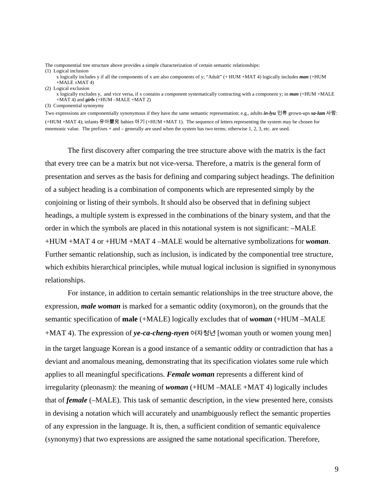The componential tree structure above provides a simple characterization of certain semantic relationships:

(1) Logical inclusion

x logically includes y if all the components of x are also components of y; "Adult" (+ HUM +MAT 4) logically includes *man* (+HUM  $+MALE \pm MAT 4$ )

(2) Logical exclusion

x logically excludes y, and vice versa, if x contains a component systematically contracting with a component y; in *man* (+HUM +MALE +MAT 4) and *girls* (+HUM –MALE +MAT 2)

(3) Componential synonymy

Two expressions are componentially synonymous if they have the same semantic representation; e.g., adults *in-lyu* 인류 grown-ups *sa-lam* 사람: (+HUM +MAT 4); infants 유아嬰兒 babies 아기 (+HUM +MAT 1). The sequence of letters representing the system may be chosen for mnemonic value. The prefixes  $+$  and  $-$  generally are used when the system has two terms; otherwise 1, 2, 3, etc. are used.

The first discovery after comparing the tree structure above with the matrix is the fact that every tree can be a matrix but not vice-versa. Therefore, a matrix is the general form of presentation and serves as the basis for defining and comparing subject headings. The definition of a subject heading is a combination of components which are represented simply by the conjoining or listing of their symbols. It should also be observed that in defining subject headings, a multiple system is expressed in the combinations of the binary system, and that the order in which the symbols are placed in this notational system is not significant: –MALE +HUM +MAT 4 or +HUM +MAT 4 –MALE would be alternative symbolizations for *woman*. Further semantic relationship, such as inclusion, is indicated by the componential tree structure, which exhibits hierarchical principles, while mutual logical inclusion is signified in synonymous relationships.

For instance, in addition to certain semantic relationships in the tree structure above, the expression, *male woman* is marked for a semantic oddity (oxymoron), on the grounds that the semantic specification of **male** (+MALE) logically excludes that of *woman* (+HUM –MALE +MAT 4). The expression of *ye-ca-cheng-nyen* 여자청년 [woman youth or women young men] in the target language Korean is a good instance of a semantic oddity or contradiction that has a deviant and anomalous meaning, demonstrating that its specification violates some rule which applies to all meaningful specifications. *Female woman* represents a different kind of irregularity (pleonasm): the meaning of *woman* (+HUM –MALE +MAT 4) logically includes that of *female* (–MALE). This task of semantic description, in the view presented here, consists in devising a notation which will accurately and unambiguously reflect the semantic properties of any expression in the language. It is, then, a sufficient condition of semantic equivalence (synonymy) that two expressions are assigned the same notational specification. Therefore,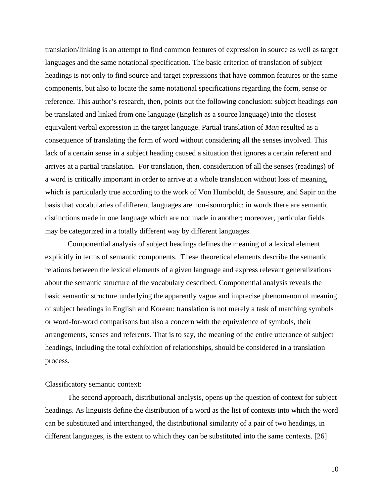translation/linking is an attempt to find common features of expression in source as well as target languages and the same notational specification. The basic criterion of translation of subject headings is not only to find source and target expressions that have common features or the same components, but also to locate the same notational specifications regarding the form, sense or reference. This author's research, then, points out the following conclusion: subject headings *can*  be translated and linked from one language (English as a source language) into the closest equivalent verbal expression in the target language. Partial translation of *Man* resulted as a consequence of translating the form of word without considering all the senses involved. This lack of a certain sense in a subject heading caused a situation that ignores a certain referent and arrives at a partial translation. For translation, then, consideration of all the senses (readings) of a word is critically important in order to arrive at a whole translation without loss of meaning, which is particularly true according to the work of Von Humboldt, de Saussure, and Sapir on the basis that vocabularies of different languages are non-isomorphic: in words there are semantic distinctions made in one language which are not made in another; moreover, particular fields may be categorized in a totally different way by different languages.

Componential analysis of subject headings defines the meaning of a lexical element explicitly in terms of semantic components. These theoretical elements describe the semantic relations between the lexical elements of a given language and express relevant generalizations about the semantic structure of the vocabulary described. Componential analysis reveals the basic semantic structure underlying the apparently vague and imprecise phenomenon of meaning of subject headings in English and Korean: translation is not merely a task of matching symbols or word-for-word comparisons but also a concern with the equivalence of symbols, their arrangements, senses and referents. That is to say, the meaning of the entire utterance of subject headings, including the total exhibition of relationships, should be considered in a translation process.

#### Classificatory semantic context:

The second approach, distributional analysis, opens up the question of context for subject headings. As linguists define the distribution of a word as the list of contexts into which the word can be substituted and interchanged, the distributional similarity of a pair of two headings, in different languages, is the extent to which they can be substituted into the same contexts. [26]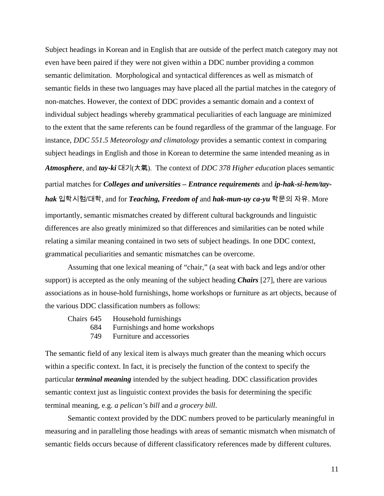Subject headings in Korean and in English that are outside of the perfect match category may not even have been paired if they were not given within a DDC number providing a common semantic delimitation. Morphological and syntactical differences as well as mismatch of semantic fields in these two languages may have placed all the partial matches in the category of non-matches. However, the context of DDC provides a semantic domain and a context of individual subject headings whereby grammatical peculiarities of each language are minimized to the extent that the same referents can be found regardless of the grammar of the language. For instance, *DDC 551.5 Meteorology and climatology* provides a semantic context in comparing subject headings in English and those in Korean to determine the same intended meaning as in *Atmosphere*, and *tay-ki* 대기(大氣). The context of *DDC 378 Higher education* places semantic partial matches for *Colleges and universities – Entrance requirements* and *ip-hak-si-hem/tayhak* 입학시험/대학, and for *Teaching, Freedom of* and *hak-mun-uy ca-yu* 학문의 자유. More importantly, semantic mismatches created by different cultural backgrounds and linguistic differences are also greatly minimized so that differences and similarities can be noted while relating a similar meaning contained in two sets of subject headings. In one DDC context, grammatical peculiarities and semantic mismatches can be overcome.

Assuming that one lexical meaning of "chair," (a seat with back and legs and/or other support) is accepted as the only meaning of the subject heading *Chairs* [27], there are various associations as in house-hold furnishings, home workshops or furniture as art objects, because of the various DDC classification numbers as follows:

|     | Chairs 645 Household furnishings   |
|-----|------------------------------------|
|     | 684 Furnishings and home workshops |
| 749 | Furniture and accessories          |

The semantic field of any lexical item is always much greater than the meaning which occurs within a specific context. In fact, it is precisely the function of the context to specify the particular *terminal meaning* intended by the subject heading. DDC classification provides semantic context just as linguistic context provides the basis for determining the specific terminal meaning, e.g. *a pelican's bill* and *a grocery bill*.

Semantic context provided by the DDC numbers proved to be particularly meaningful in measuring and in paralleling those headings with areas of semantic mismatch when mismatch of semantic fields occurs because of different classificatory references made by different cultures.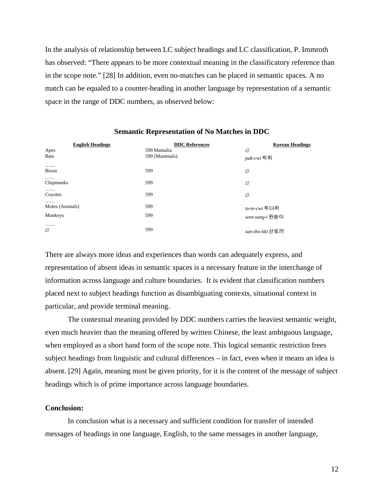In the analysis of relationship between LC subject headings and LC classification, P. Immroth has observed: "There appears to be more contextual meaning in the classificatory reference than in the scope note." [28] In addition, even no-matches can be placed in semantic spaces. A no match can be equaled to a counter-heading in another language by representation of a semantic space in the range of DDC numbers, as observed below:

| <b>English Headings</b><br>Apes<br><b>Bats</b> | <b>DDC</b> References<br>599 Mamalia<br>599 (Mammals) | <b>Korean Headings</b><br>Ø<br><i>pak-cwi</i> 박쥐 |
|------------------------------------------------|-------------------------------------------------------|--------------------------------------------------|
| .<br><b>Bison</b>                              | 599                                                   | Ø                                                |
| .<br>Chipmunks                                 | 599                                                   | Ø                                                |
| .<br>Coyotes                                   | 599                                                   | Ø                                                |
| .<br>Moles (Animals)<br>Monkeys                | 599<br>599                                            | <i>tu-te-cwi</i> 두더쥐<br>wen-sung-i 원숭이           |
| .<br>Ø                                         | 599                                                   | san-tho-kki 산토끼                                  |

### **Semantic Representation of No Matches in DDC**

There are always more ideas and experiences than words can adequately express, and representation of absent ideas in semantic spaces is a necessary feature in the interchange of information across language and culture boundaries. It is evident that classification numbers placed next to subject headings function as disambiguating contexts, situational context in particular, and provide terminal meaning.

The contextual meaning provided by DDC numbers carries the heaviest semantic weight, even much heavier than the meaning offered by written Chinese, the least ambiguous language, when employed as a short hand form of the scope note. This logical semantic restriction frees subject headings from linguistic and cultural differences – in fact, even when it means an idea is absent. [29] Again, meaning must be given priority, for it is the content of the message of subject headings which is of prime importance across language boundaries.

## **Conclusion:**

In conclusion what is a necessary and sufficient condition for transfer of intended messages of headings in one language, English, to the same messages in another language,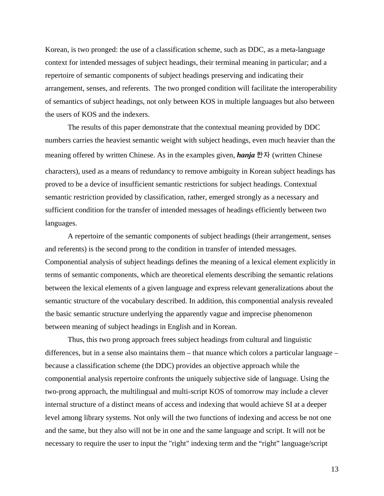Korean, is two pronged: the use of a classification scheme, such as DDC, as a meta-language context for intended messages of subject headings, their terminal meaning in particular; and a repertoire of semantic components of subject headings preserving and indicating their arrangement, senses, and referents. The two pronged condition will facilitate the interoperability of semantics of subject headings, not only between KOS in multiple languages but also between the users of KOS and the indexers.

The results of this paper demonstrate that the contextual meaning provided by DDC numbers carries the heaviest semantic weight with subject headings, even much heavier than the meaning offered by written Chinese. As in the examples given, *hanja* 한자 (written Chinese characters), used as a means of redundancy to remove ambiguity in Korean subject headings has proved to be a device of insufficient semantic restrictions for subject headings. Contextual semantic restriction provided by classification, rather, emerged strongly as a necessary and sufficient condition for the transfer of intended messages of headings efficiently between two languages.

A repertoire of the semantic components of subject headings (their arrangement, senses and referents) is the second prong to the condition in transfer of intended messages. Componential analysis of subject headings defines the meaning of a lexical element explicitly in terms of semantic components, which are theoretical elements describing the semantic relations between the lexical elements of a given language and express relevant generalizations about the semantic structure of the vocabulary described. In addition, this componential analysis revealed the basic semantic structure underlying the apparently vague and imprecise phenomenon between meaning of subject headings in English and in Korean.

Thus, this two prong approach frees subject headings from cultural and linguistic differences, but in a sense also maintains them – that nuance which colors a particular language – because a classification scheme (the DDC) provides an objective approach while the componential analysis repertoire confronts the uniquely subjective side of language. Using the two-prong approach, the multilingual and multi-script KOS of tomorrow may include a clever internal structure of a distinct means of access and indexing that would achieve SI at a deeper level among library systems. Not only will the two functions of indexing and access be not one and the same, but they also will not be in one and the same language and script. It will not be necessary to require the user to input the "right" indexing term and the "right" language/script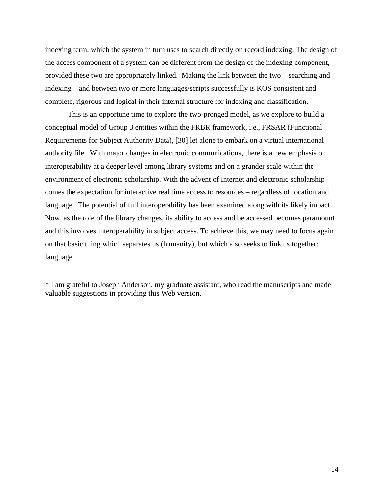indexing term, which the system in turn uses to search directly on record indexing. The design of the access component of a system can be different from the design of the indexing component, provided these two are appropriately linked. Making the link between the two – searching and indexing – and between two or more languages/scripts successfully is KOS consistent and complete, rigorous and logical in their internal structure for indexing and classification.

This is an opportune time to explore the two-pronged model, as we explore to build a conceptual model of Group 3 entities within the FRBR framework, i.e., FRSAR (Functional Requirements for Subject Authority Data), [30] let alone to embark on a virtual international authority file. With major changes in electronic communications, there is a new emphasis on interoperability at a deeper level among library systems and on a grander scale within the environment of electronic scholarship. With the advent of Internet and electronic scholarship comes the expectation for interactive real time access to resources – regardless of location and language. The potential of full interoperability has been examined along with its likely impact. Now, as the role of the library changes, its ability to access and be accessed becomes paramount and this involves interoperability in subject access. To achieve this, we may need to focus again on that basic thing which separates us (humanity), but which also seeks to link us together: language.

\* I am grateful to Joseph Anderson, my graduate assistant, who read the manuscripts and made valuable suggestions in providing this Web version.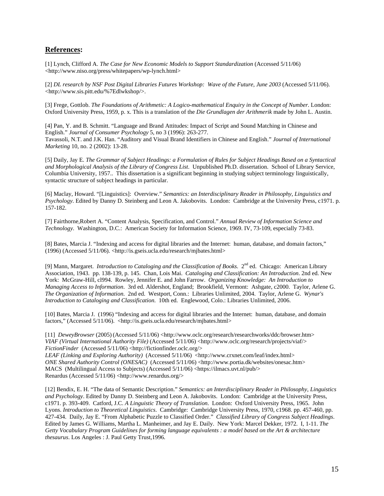## **References:**

[1] Lynch, Clifford A. *The Case for New Economic Models to Support Standardization* (Accessed 5/11/06) [<http://www.niso.org/press/whitepapers/wp-lynch.html>](http://www.niso.org/press/whitepapers/wp-lynch.html)

[2] *DL research by NSF Post Digital Libraries Futures Workshop: Wave of the Future, June 2003* (Accessed 5/11/06). [<http://www.sis.pitt.edu/%7Edlwkshop/>.](http://www.sis.pitt.edu/%7Edlwkshop) 

[3] Frege, Gottlob. *The Foundations of Arithmetic: A Logico-mathematical Enquiry in the Concept of Number*. London: Oxford University Press, 1959, p. x. This is a translation of the *Die Grundlagen der Arithmerik* made by John L. Austin.

[4] Pan, Y. and B. Schmitt. "Language and Brand Attitudes: Impact of Script and Sound Matching in Chinese and English." *Journal of Consumer Psychology* 5, no 3 (1996): 263-277. Tavassoli, N.T. and J.K. Han. "Auditory and Visual Brand Identifiers in Chinese and English." *Journal of International Marketing* 10, no. 2 (2002): 13-28.

[5] Daily, Jay E. *The Grammar of Subject Headings: a Formulation of Rules for Subject Headings Based on a Syntactical and Morphological Analysis of the Library of Congress List*. Unpublished Ph.D. dissertation. School of Library Service, Columbia University, 1957.. This dissertation is a significant beginning in studying subject terminology linguistically, syntactic structure of subject headings in particular.

[6] Maclay, Howard. "[Linguistics]: Overview." *Semantics: an Interdisciplinary Reader in Philosophy, Linguistics and Psychology*. Edited by Danny D. Steinberg and Leon A. Jakobovits. London: Cambridge at the University Press, c1971. p. 157-182.

[7] Fairthorne,Robert A. "Content Analysis, Specification, and Control." *Annual Review of Information Science and Technology*. Washington, D.C.: American Society for Information Science, 1969. IV, 73-109, especially 73-83.

[8] Bates, Marcia J. "Indexing and access for digital libraries and the Internet: human, database, and domain factors," (1996) (Accessed 5/11/06). [<http://is.gseis.ucla.edu/research/mjbates.html>](http://is.gseis.ucla.edu/research/mjbates.html) 

[9] Mann, Margaret. *Introduction to Cataloging and the Classification of Books.* 2<sup>nd</sup> ed. Chicago: American Library Association, 1943. pp. 138-139, p. 145. Chan, Lois Mai. *Cataloging and Classification: An Introduction*. 2nd ed. New York: McGraw-Hill, cl994. Rowley, Jennifer E. and John Farrow.*Organizing Knowledge: An Introduction to Managing Access to Information*. 3rd ed. Aldershot, England; Brookfield, Vermont: Ashgate, c2000. Taylor, Arlene G. *The Organization of Information*. 2nd ed. Westport, Conn.: Libraries Unlimited, 2004.Taylor, Arlene G. *Wynar's Introduction to Cataloging and Classification*. 10th ed. Englewood, Colo.: Libraries Unlimited, 2006.

[10] Bates, Marcia J. (1996) "Indexing and access for digital libraries and the Internet: human, database, and domain factors," (Accessed 5/11/06). <[http://is.gseis.ucla.edu/research/mjbates.html>](http://is.gseis.ucla.edu/research/mjbates.html)

[11] *DeweyBrowser* (2005) (Accessed 5/11/06) <http://www.oclc.org/research/researchworks/ddc/browser.htm> *VIAF (Virtual International Authority File)* (Accessed 5/11/06) [<http://www.oclc.org/research/projects/viaf/>](http://www.oclc.org/research/projects/viaf) *FictionFinder* (Accessed 5/11/06) [<http://fictionfinder.oclc.org/>](http://fictionfinder.oclc.org)  *LEAF (Linking and Exploring Authority)* (Accessed 5/11/06) [<http://www.crxnet.com/leaf/index.html>](http://www.crxnet.com/leaf/index.html) *ONE Shared Authority Control (ONESAC)* (Accessed 5/11/06) [<http://www.portia.dk/websites/onesac.htm>](http://www.portia.dk/websites/onesac.htm) MACS (Multilingual Access to Subjects) (Accessed 5/11/06) <[https://ilmacs.uvt.nl/pub/>](https://ilmacs.uvt.nl/pub) 

Renardus (Accessed 5/11/06) <[http://www.renardus.org/>](http://www.renardus.org) 

[12] Bendix, E. H. "The data of Semantic Description." *Semantics: an Interdisciplinary Reader in Philosophy, Linguistics and Psychology*. Edited by Danny D. Steinberg and Leon A. Jakobovits. London: Cambridge at the University Press, c1971. p. 393-409. Catford, J.C. *A Linguistic Theory of Translation*. London: Oxford University Press, 1965. John Lyons. *Introduction to Theoretical Linguistics*. Cambridge: Cambridge University Press, 1970, c1968. pp. 457-460, pp. 427-434. Daily, Jay E. "From Alphabetic Puzzle to Classified Order." *Classified Library of Congress Subject Headings*. Edited by James G. Williams, Martha L. Manheimer, and Jay E. Daily. New York: Marcel Dekker, 1972. I, 1-11. *The Getty Vocabulary Program Guidelines for forming language equivalents : a model based on the Art & architecture thesaurus*. Los Angeles : J. Paul Getty Trust,1996.